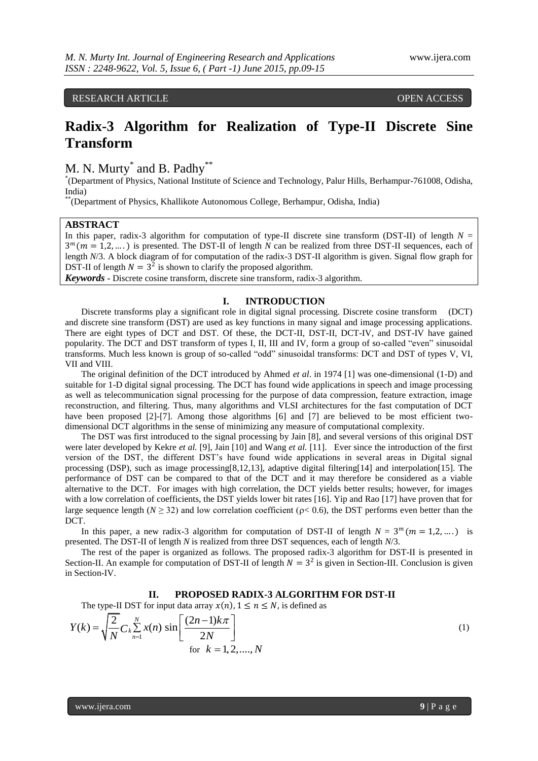RESEARCH ARTICLE **CONSERVERS** OPEN ACCESS

# **Radix-3 Algorithm for Realization of Type-II Discrete Sine Transform**

M. N. Murty<sup>\*</sup> and B. Padhy<sup>\*\*</sup>

\* (Department of Physics, National Institute of Science and Technology, Palur Hills, Berhampur-761008, Odisha, India)

\*\*(Department of Physics, Khallikote Autonomous College, Berhampur, Odisha, India)

#### **ABSTRACT**

In this paper, radix-3 algorithm for computation of type-II discrete sine transform (DST-II) of length  $N =$  $3^m$ ( $m = 1, 2, ...$ ) is presented. The DST-II of length *N* can be realized from three DST-II sequences, each of length *N*/3. A block diagram of for computation of the radix-3 DST-II algorithm is given. Signal flow graph for DST-II of length  $N = 3^2$  is shown to clarify the proposed algorithm.

*Keywords* **-** Discrete cosine transform, discrete sine transform, radix-3 algorithm.

### **I. INTRODUCTION**

Discrete transforms play a significant role in digital signal processing. Discrete cosine transform (DCT) and discrete sine transform (DST) are used as key functions in many signal and image processing applications. There are eight types of DCT and DST. Of these, the DCT-II, DST-II, DCT-IV, and DST-IV have gained popularity. The DCT and DST transform of types I, II, III and IV, form a group of so-called "even" sinusoidal transforms. Much less known is group of so-called "odd" sinusoidal transforms: DCT and DST of types V, VI, VII and VIII.

The original definition of the DCT introduced by Ahmed *et al*. in 1974 [1] was one-dimensional (1-D) and suitable for 1-D digital signal processing. The DCT has found wide applications in speech and image processing as well as telecommunication signal processing for the purpose of data compression, feature extraction, image reconstruction, and filtering. Thus, many algorithms and VLSI architectures for the fast computation of DCT have been proposed [2]-[7]. Among those algorithms [6] and [7] are believed to be most efficient twodimensional DCT algorithms in the sense of minimizing any measure of computational complexity.

The DST was first introduced to the signal processing by Jain [8], and several versions of this original DST were later developed by Kekre *et al.* [9], Jain [10] and Wang *et al.* [11]. Ever since the introduction of the first version of the DST, the different DST's have found wide applications in several areas in Digital signal processing (DSP), such as image processing[8,12,13], adaptive digital filtering[14] and interpolation[15]. The performance of DST can be compared to that of the DCT and it may therefore be considered as a viable alternative to the DCT. For images with high correlation, the DCT yields better results; however, for images with a low correlation of coefficients, the DST yields lower bit rates [16]. Yip and Rao [17] have proven that for large sequence length ( $N \ge 32$ ) and low correlation coefficient ( $\rho < 0.6$ ), the DST performs even better than the DCT.

In this paper, a new radix-3 algorithm for computation of DST-II of length  $N = 3^m (m = 1, 2, ...)$  is presented. The DST-II of length *N* is realized from three DST sequences, each of length *N*/3.

The rest of the paper is organized as follows. The proposed radix-3 algorithm for DST-II is presented in Section-II. An example for computation of DST-II of length  $N = 3^2$  is given in Section-III. Conclusion is given in Section-IV.

#### **II. PROPOSED RADIX-3 ALGORITHM FOR DST-II**

The type-II DST for input data array 
$$
x(n)
$$
,  $1 \le n \le N$ , is defined as\n
$$
Y(k) = \sqrt{\frac{2}{N}} C_k \sum_{n=1}^{N} x(n) \sin\left[\frac{(2n-1)k\pi}{2N}\right]
$$
\nfor  $k = 1, 2, ..., N$  (1)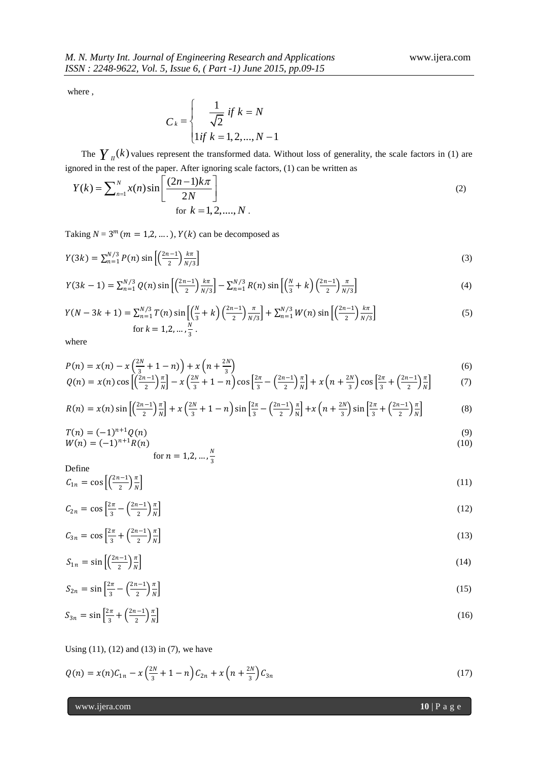where ,

$$
C_k = \begin{cases} \frac{1}{\sqrt{2}} & \text{if } k = N \\ 1 & \text{if } k = 1, 2, ..., N - 1 \end{cases}
$$

The  $\gamma$ <sub>II</sub>(k) values represent the transformed data. Without loss of generality, the scale factors in (1) are

\n ignored in the rest of the paper. After ignoring scale factors, (1) can be written as\n 
$$
Y(k) = \sum_{n=1}^{N} x(n) \sin\left[\frac{(2n-1)k\pi}{2N}\right]
$$
\n (2) for  $k = 1, 2, \ldots, N$ .\n

Taking  $N = 3^m$  ( $m = 1, 2, \dots$ ),  $Y(k)$  can be decomposed as

$$
Y(3k) = \sum_{n=1}^{N/3} P(n) \sin \left[ \left( \frac{2n-1}{2} \right) \frac{k\pi}{N/3} \right] \tag{3}
$$

$$
Y(3k-1) = \sum_{n=1}^{N/3} Q(n) \sin\left[\left(\frac{2n-1}{2}\right) \frac{k\pi}{N/3}\right] - \sum_{n=1}^{N/3} R(n) \sin\left[\left(\frac{N}{3} + k\right) \left(\frac{2n-1}{2}\right) \frac{\pi}{N/3}\right]
$$
(4)

$$
Y(N-3k+1) = \sum_{n=1}^{N/3} T(n) \sin\left[\left(\frac{N}{3} + k\right)\left(\frac{2n-1}{2}\right)\frac{\pi}{N/3}\right] + \sum_{n=1}^{N/3} W(n) \sin\left[\left(\frac{2n-1}{2}\right)\frac{k\pi}{N/3}\right]
$$
\n
$$
\text{for } k = 1, 2, \dots, \frac{N}{3} \,.
$$
\n
$$
(5)
$$

where

$$
P(n) = x(n) - x\left(\frac{2N}{3} + 1 - n\right) + x\left(n + \frac{2N}{3}\right)
$$
  
\n
$$
Q(n) = x(n)\cos\left[\left(\frac{2n-1}{2}\right)\frac{\pi}{N}\right] - x\left(\frac{2N}{3} + 1 - n\right)\cos\left[\frac{2\pi}{3} - \left(\frac{2n-1}{2}\right)\frac{\pi}{N}\right] + x\left(n + \frac{2N}{3}\right)\cos\left[\frac{2\pi}{3} + \left(\frac{2n-1}{2}\right)\frac{\pi}{N}\right]
$$
\n(6)

$$
R(n) = x(n) \sin \left[ \left( \frac{2n-1}{2} \right) \frac{\pi}{N} \right] + x \left( \frac{2N}{3} + 1 - n \right) \sin \left[ \frac{2\pi}{3} - \left( \frac{2n-1}{2} \right) \frac{\pi}{N} \right] + x \left( n + \frac{2N}{3} \right) \sin \left[ \frac{2\pi}{3} + \left( \frac{2n-1}{2} \right) \frac{\pi}{N} \right] \tag{8}
$$

$$
T(n) = (-1)^{n+1} Q(n)
$$
  
\n
$$
W(n) = (-1)^{n+1} R(n)
$$
\n(9)

$$
\text{for } n = 1, 2, \dots, \frac{N}{3}
$$

Define

$$
C_{1n} = \cos\left[\left(\frac{2n-1}{2}\right)\frac{\pi}{N}\right] \tag{11}
$$

$$
C_{2n} = \cos\left[\frac{2\pi}{3} - \left(\frac{2n-1}{2}\right)\frac{\pi}{N}\right]
$$
\n<sup>(12)</sup>

$$
C_{3n} = \cos\left[\frac{2\pi}{3} + \left(\frac{2n-1}{2}\right)\frac{\pi}{N}\right]
$$
\n<sup>(13)</sup>

$$
S_{1n} = \sin\left[\left(\frac{2n-1}{2}\right)\frac{\pi}{N}\right] \tag{14}
$$

$$
S_{2n} = \sin\left[\frac{2\pi}{3} - \left(\frac{2n-1}{2}\right)\frac{\pi}{N}\right]
$$
\n<sup>(15)</sup>

$$
S_{3n} = \sin\left[\frac{2\pi}{3} + \left(\frac{2n-1}{2}\right)\frac{\pi}{N}\right]
$$
\n
$$
(16)
$$

Using  $(11)$ ,  $(12)$  and  $(13)$  in  $(7)$ , we have

$$
Q(n) = x(n)C_{1n} - x\left(\frac{2N}{3} + 1 - n\right)C_{2n} + x\left(n + \frac{2N}{3}\right)C_{3n}
$$
\n(17)

www.ijera.com **10** | P a g e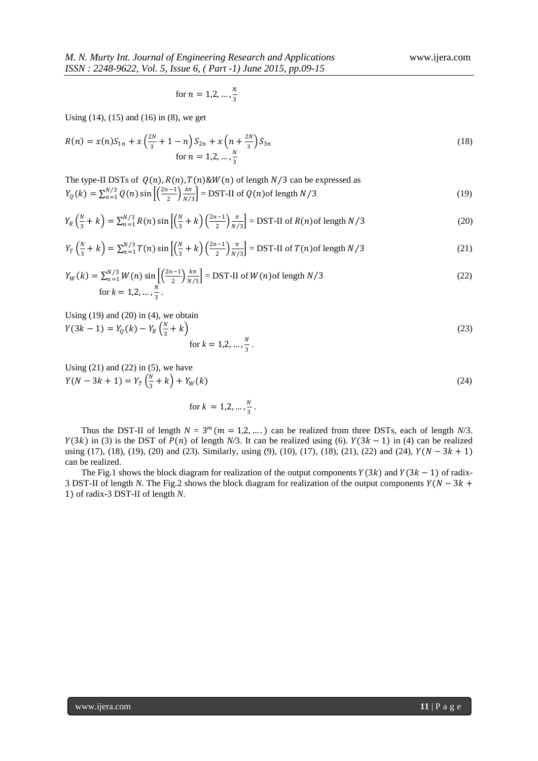for 
$$
n = 1, 2, ..., \frac{N}{3}
$$

Using (14), (15) and (16) in (8), we get

$$
R(n) = x(n)S_{1n} + x\left(\frac{2N}{3} + 1 - n\right)S_{2n} + x\left(n + \frac{2N}{3}\right)S_{3n}
$$
  
for  $n = 1, 2, ..., \frac{N}{3}$  (18)

The type-II DSTs of  $Q(n)$ ,  $R(n)$ ,  $T(n)$ &W $(n)$  of length  $N/3$  can be expressed as  $Y_Q(k) = \sum_{n=1}^{N/3} Q(n) \sin \left[ \left( \frac{2n-1}{2} \right) \right]$  $\frac{k-1}{2}$  $\frac{k\pi}{N}$  $\sum_{n=1}^{N/3} Q(n) \sin \left[ \left( \frac{2n-1}{2} \right) \frac{k\pi}{N/3} \right] = \text{DST-II of } Q(n) \text{ of length } N/3$  (19)

$$
Y_R\left(\frac{N}{3}+k\right) = \sum_{n=1}^{N/3} R(n) \sin\left[\left(\frac{N}{3}+k\right)\left(\frac{2n-1}{2}\right)\frac{\pi}{N/3}\right] = \text{DST-II of } R(n) \text{ of length } N/3 \tag{20}
$$

$$
Y_T\left(\frac{N}{3} + k\right) = \sum_{n=1}^{N/3} T(n) \sin\left[\left(\frac{N}{3} + k\right)\left(\frac{2n-1}{2}\right)\frac{\pi}{N/3}\right] = \text{DST-II of } T(n) \text{ of length } N/3 \tag{21}
$$

$$
Y_W(k) = \sum_{n=1}^{N/3} W(n) \sin\left[\left(\frac{2n-1}{2}\right) \frac{k\pi}{N/3}\right] = \text{DST-II of } W(n) \text{ of length } N/3
$$
\nfor  $k = 1, 2, \ldots, \frac{N}{3}$ .

\n(22)

Using (19) and (20) in (4), we obtain  
\n
$$
Y(3k - 1) = Y_Q(k) - Y_R\left(\frac{N}{3} + k\right)
$$
  
\nfor  $k = 1, 2, ..., \frac{N}{3}$ . (23)

Using  $(21)$  and  $(22)$  in  $(5)$ , we have  $Y(N - 3k + 1) = Y_T(\frac{N}{3})$  $\frac{N}{3} + k$  +  $Y_W(k)$  (24)

for  $k = 1, 2, ..., \frac{N}{2}$  $\frac{1}{3}$ .

Thus the DST-II of length  $N = 3^m (m = 1, 2, ...)$  can be realized from three DSTs, each of length *N*/3.  $Y(3k)$  in (3) is the DST of  $P(n)$  of length *N*/3. It can be realized using (6).  $Y(3k - 1)$  in (4) can be realized using (17), (18), (19), (20) and (23). Similarly, using (9), (10), (17), (18), (21), (22) and (24),  $Y(N - 3k + 1)$ can be realized.

The Fig.1 shows the block diagram for realization of the output components  $Y(3k)$  and  $Y(3k - 1)$  of radix-3 DST-II of length *N*. The Fig.2 shows the block diagram for realization of the output components  $Y(N - 3k +$ 1) of radix-3 DST-II of length *N*.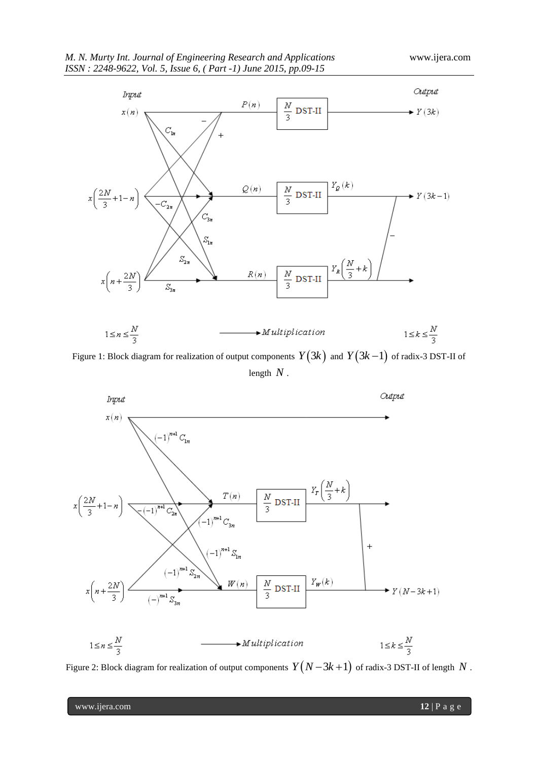

Figure 1: Block diagram for realization of output components  $\,Y(3k) \,$  and  $\,Y(3k\!-\!1) \,$  of radix-3 DST-II of length *N* .



Figure 2: Block diagram for realization of output components  $\,Y\bigl(N-3k+1\bigr) \,$  of radix-3 DST-II of length  $\,N$  .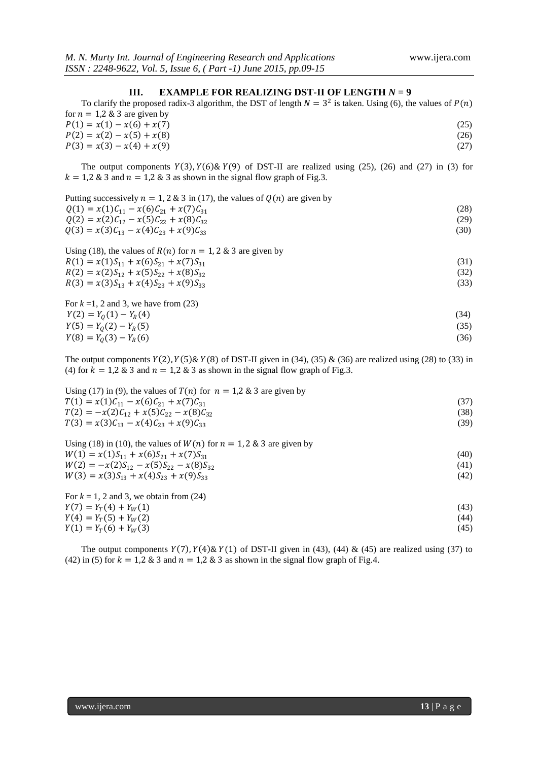## **III. EXAMPLE FOR REALIZING DST-II OF LENGTH**  $N = 9$

| To clarify the proposed radix-3 algorithm, the DST of length $N = 3^2$ is taken. Using (6), the values of $P(n)$ |      |
|------------------------------------------------------------------------------------------------------------------|------|
| for $n = 1.2$ & 3 are given by                                                                                   |      |
| $P(1) = x(1) - x(6) + x(7)$                                                                                      | (25) |
| $P(2) = x(2) - x(5) + x(8)$                                                                                      | (26) |
| $P(3) = x(3) - x(4) + x(9)$                                                                                      | (27) |

The output components  $Y(3)$ ,  $Y(6)$  &  $Y(9)$  of DST-II are realized using (25), (26) and (27) in (3) for  $k = 1.2 \& 3$  and  $n = 1.2 \& 3$  as shown in the signal flow graph of Fig.3.

| Putting successively $n = 1, 2 \& 3$ in (17), the values of $Q(n)$ are given by |      |
|---------------------------------------------------------------------------------|------|
| $Q(1) = x(1)C_{11} - x(6)C_{21} + x(7)C_{31}$                                   | (28) |
| $Q(2) = x(2)C_{12} - x(5)C_{22} + x(8)C_{32}$                                   | (29) |
| $Q(3) = x(3)C_{13} - x(4)C_{23} + x(9)C_{33}$                                   | (30) |
| Using (18), the values of $R(n)$ for $n = 1, 2, 8, 3$ are given by              |      |
| $R(1) = x(1)S_{11} + x(6)S_{21} + x(7)S_{31}$                                   | (31) |

| $\Lambda(1) - \lambda(1)S_{11} + \lambda(0)S_{21} + \lambda(1)S_{31}$ |      |
|-----------------------------------------------------------------------|------|
| $R(2) = x(2)S_{12} + x(5)S_{22} + x(8)S_{32}$                         | (32) |
| $R(3) = x(3)S_{13} + x(4)S_{23} + x(9)S_{33}$                         | (33) |
|                                                                       |      |

For  $k = 1, 2$  and 3, we have from (23)  $Y(2) = Y_0(1) - Y_R(4)$  (34)  $Y(5) = Y_0(2) - Y_R(5)$  (35)  $Y(8) = Y_0(3) - Y_R(6)$  (36)

The output components  $Y(2)$ ,  $Y(5)$  &  $Y(8)$  of DST-II given in (34), (35) & (36) are realized using (28) to (33) in (4) for  $k = 1.2 \& 3$  and  $n = 1.2 \& 3$  as shown in the signal flow graph of Fig.3.

| Using (17) in (9), the values of $T(n)$ for $n = 1.2$ & 3 are given by |      |
|------------------------------------------------------------------------|------|
| $T(1) = x(1)C_{11} - x(6)C_{21} + x(7)C_{31}$                          |      |
| $T(2) = -x(2)C_{12} + x(5)C_{22} - x(8)C_{32}$                         | (38) |
| $T(3) = x(3)C_{13} - x(4)C_{23} + x(9)C_{33}$                          | (39) |

| Using (18) in (10), the values of $W(n)$ for $n = 1, 2, 8, 3$ are given by |      |
|----------------------------------------------------------------------------|------|
| $W(1) = x(1)S_{11} + x(6)S_{21} + x(7)S_{31}$                              | (40) |
| $W(2) = -x(2)S_{12} - x(5)S_{22} - x(8)S_{32}$                             | (41) |
| $W(3) = x(3)S_{13} + x(4)S_{23} + x(9)S_{33}$                              | (42) |
|                                                                            |      |

For  $k = 1, 2$  and 3, we obtain from  $(24)$  $Y(7) = Y_T(4) + Y_W(1)$  (43)<br>  $Y(4) = Y_T(5) + Y_W(2)$  (44)  $Y(4) = Y_T(5) + Y_W(2)$ <br>  $Y(1) = Y_T(6) + Y_W(3)$  (45)  $Y(1) = Y_T(6) + Y_W(3)$ 

The output components  $Y(7)$ ,  $Y(4)$  &  $Y(1)$  of DST-II given in (43), (44) & (45) are realized using (37) to (42) in (5) for  $k = 1,2,8,3$  and  $n = 1,2,8,3$  as shown in the signal flow graph of Fig.4.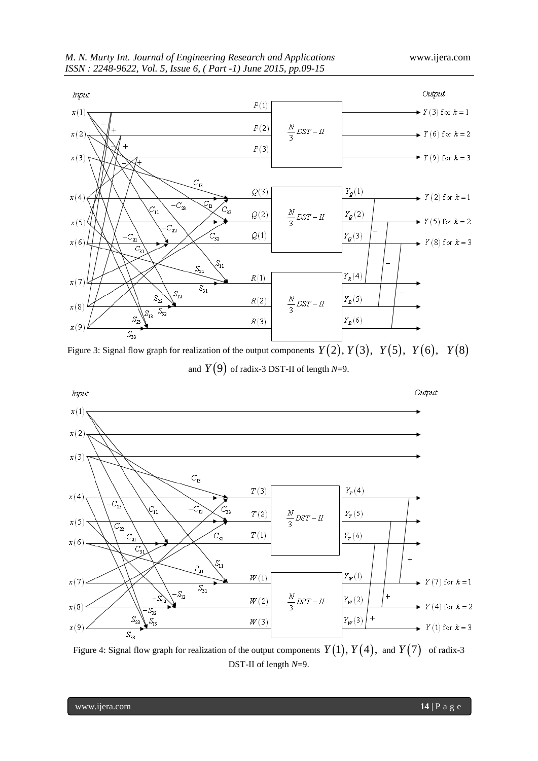

Figure 3: Signal flow graph for realization of the output components  $Y(2), Y(3), Y(5), Y(6), Y(8)$ and  $Y(9)$  of radix-3 DST-II of length  $N=9$ .



Figure 4: Signal flow graph for realization of the output components  $Y(1), Y(4),$  and  $Y(7)$  of radix-3 DST-II of length *N*=9.